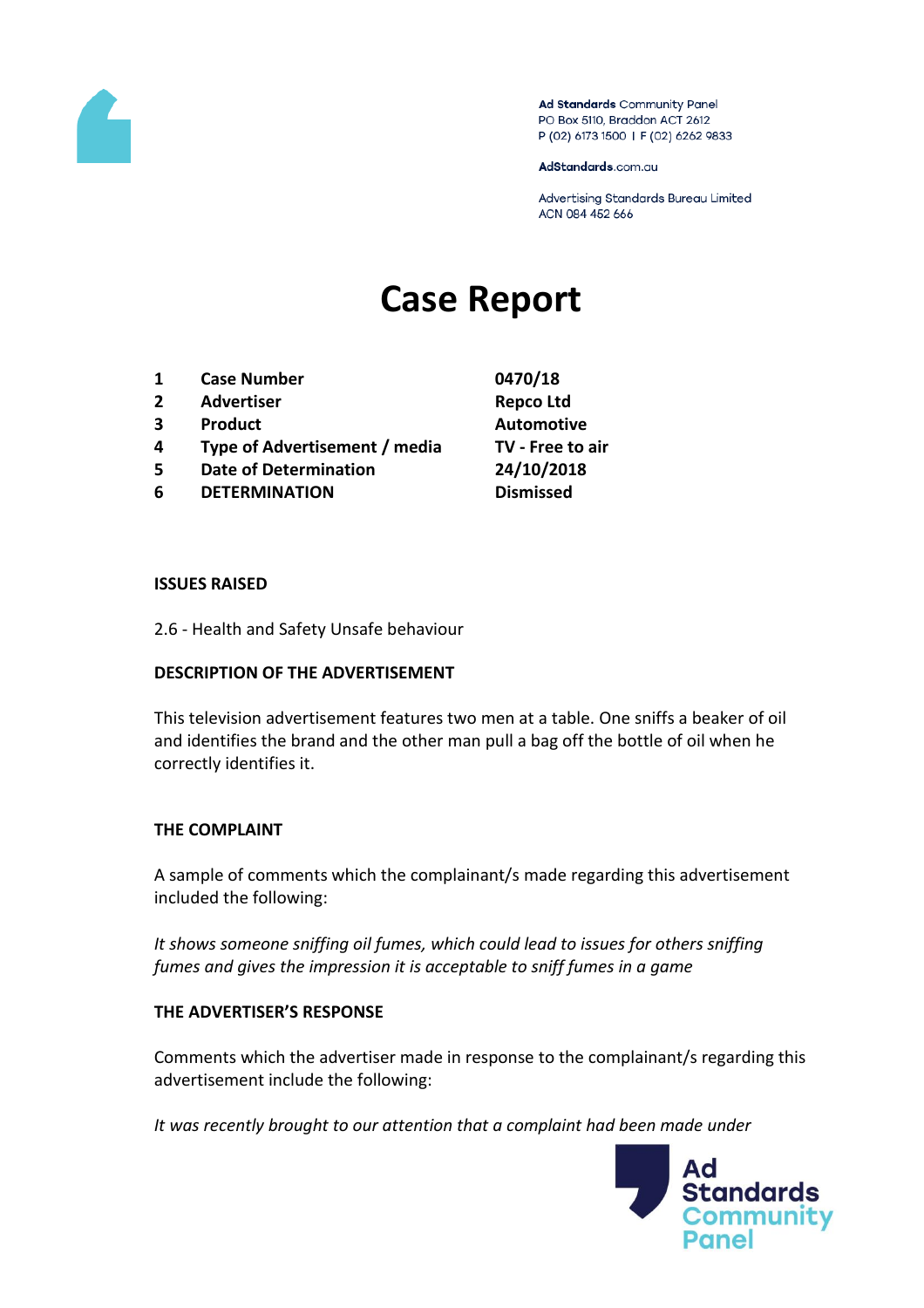

Ad Standards Community Panel PO Box 5110, Braddon ACT 2612 P (02) 6173 1500 | F (02) 6262 9833

AdStandards.com.au

Advertising Standards Bureau Limited ACN 084 452 666

# **Case Report**

- **1 Case Number 0470/18**
- **2 Advertiser Repco Ltd**
- **3 Product Automotive**
- **4 Type of Advertisement / media TV - Free to air**
- **5 Date of Determination 24/10/2018**
- **6 DETERMINATION Dismissed**

#### **ISSUES RAISED**

2.6 - Health and Safety Unsafe behaviour

## **DESCRIPTION OF THE ADVERTISEMENT**

This television advertisement features two men at a table. One sniffs a beaker of oil and identifies the brand and the other man pull a bag off the bottle of oil when he correctly identifies it.

## **THE COMPLAINT**

A sample of comments which the complainant/s made regarding this advertisement included the following:

*It shows someone sniffing oil fumes, which could lead to issues for others sniffing fumes and gives the impression it is acceptable to sniff fumes in a game*

## **THE ADVERTISER'S RESPONSE**

Comments which the advertiser made in response to the complainant/s regarding this advertisement include the following:

*It was recently brought to our attention that a complaint had been made under* 

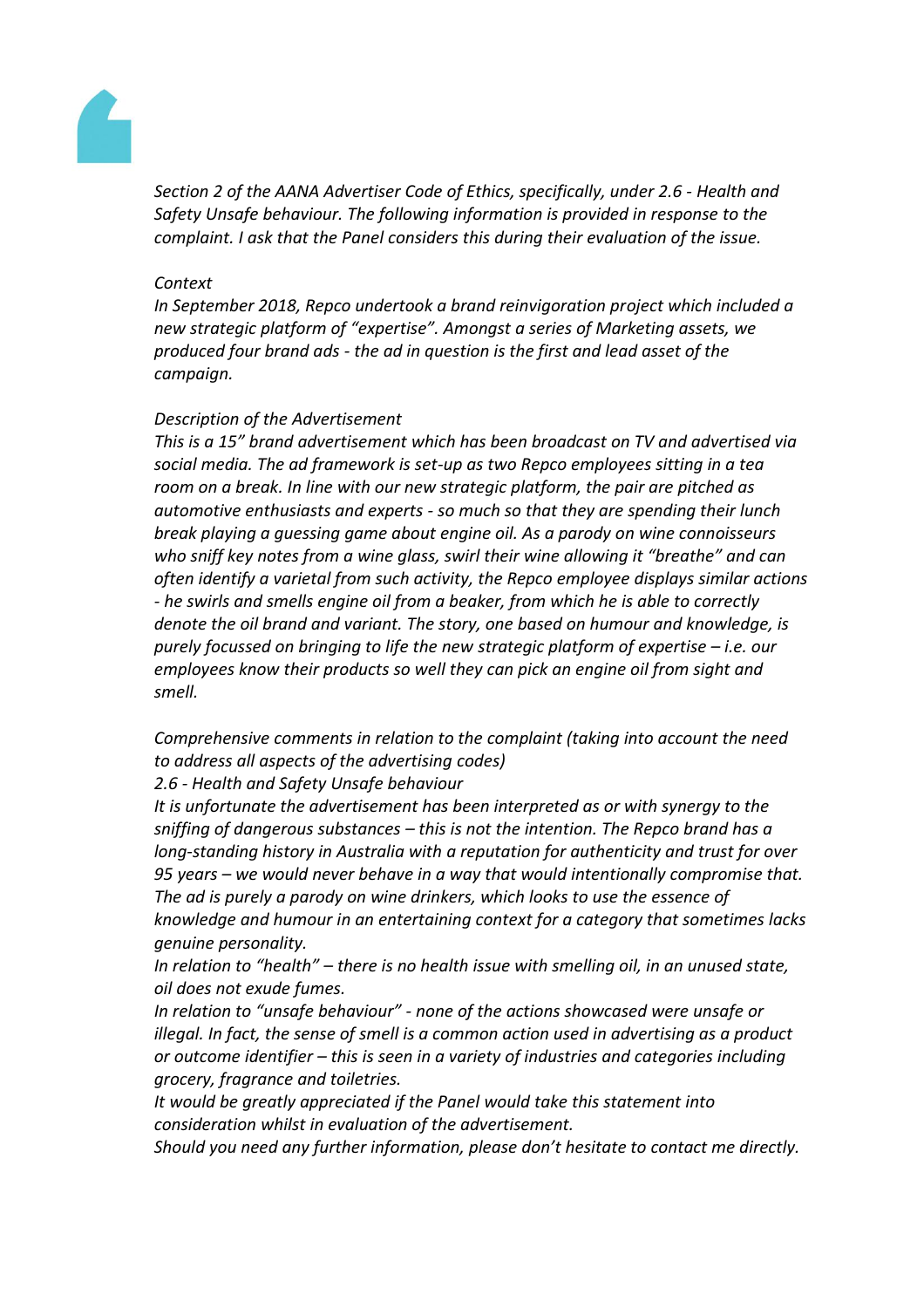

*Section 2 of the AANA Advertiser Code of Ethics, specifically, under 2.6 - Health and Safety Unsafe behaviour. The following information is provided in response to the complaint. I ask that the Panel considers this during their evaluation of the issue.*

#### *Context*

*In September 2018, Repco undertook a brand reinvigoration project which included a new strategic platform of "expertise". Amongst a series of Marketing assets, we produced four brand ads - the ad in question is the first and lead asset of the campaign.*

## *Description of the Advertisement*

*This is a 15" brand advertisement which has been broadcast on TV and advertised via social media. The ad framework is set-up as two Repco employees sitting in a tea room on a break. In line with our new strategic platform, the pair are pitched as automotive enthusiasts and experts - so much so that they are spending their lunch break playing a guessing game about engine oil. As a parody on wine connoisseurs who sniff key notes from a wine glass, swirl their wine allowing it "breathe" and can often identify a varietal from such activity, the Repco employee displays similar actions - he swirls and smells engine oil from a beaker, from which he is able to correctly denote the oil brand and variant. The story, one based on humour and knowledge, is purely focussed on bringing to life the new strategic platform of expertise – i.e. our employees know their products so well they can pick an engine oil from sight and smell.*

*Comprehensive comments in relation to the complaint (taking into account the need to address all aspects of the advertising codes)*

*2.6 - Health and Safety Unsafe behaviour*

*It is unfortunate the advertisement has been interpreted as or with synergy to the sniffing of dangerous substances – this is not the intention. The Repco brand has a long-standing history in Australia with a reputation for authenticity and trust for over 95 years – we would never behave in a way that would intentionally compromise that. The ad is purely a parody on wine drinkers, which looks to use the essence of knowledge and humour in an entertaining context for a category that sometimes lacks genuine personality.*

*In relation to "health" – there is no health issue with smelling oil, in an unused state, oil does not exude fumes.*

*In relation to "unsafe behaviour" - none of the actions showcased were unsafe or illegal. In fact, the sense of smell is a common action used in advertising as a product or outcome identifier – this is seen in a variety of industries and categories including grocery, fragrance and toiletries.*

*It would be greatly appreciated if the Panel would take this statement into consideration whilst in evaluation of the advertisement.*

*Should you need any further information, please don't hesitate to contact me directly.*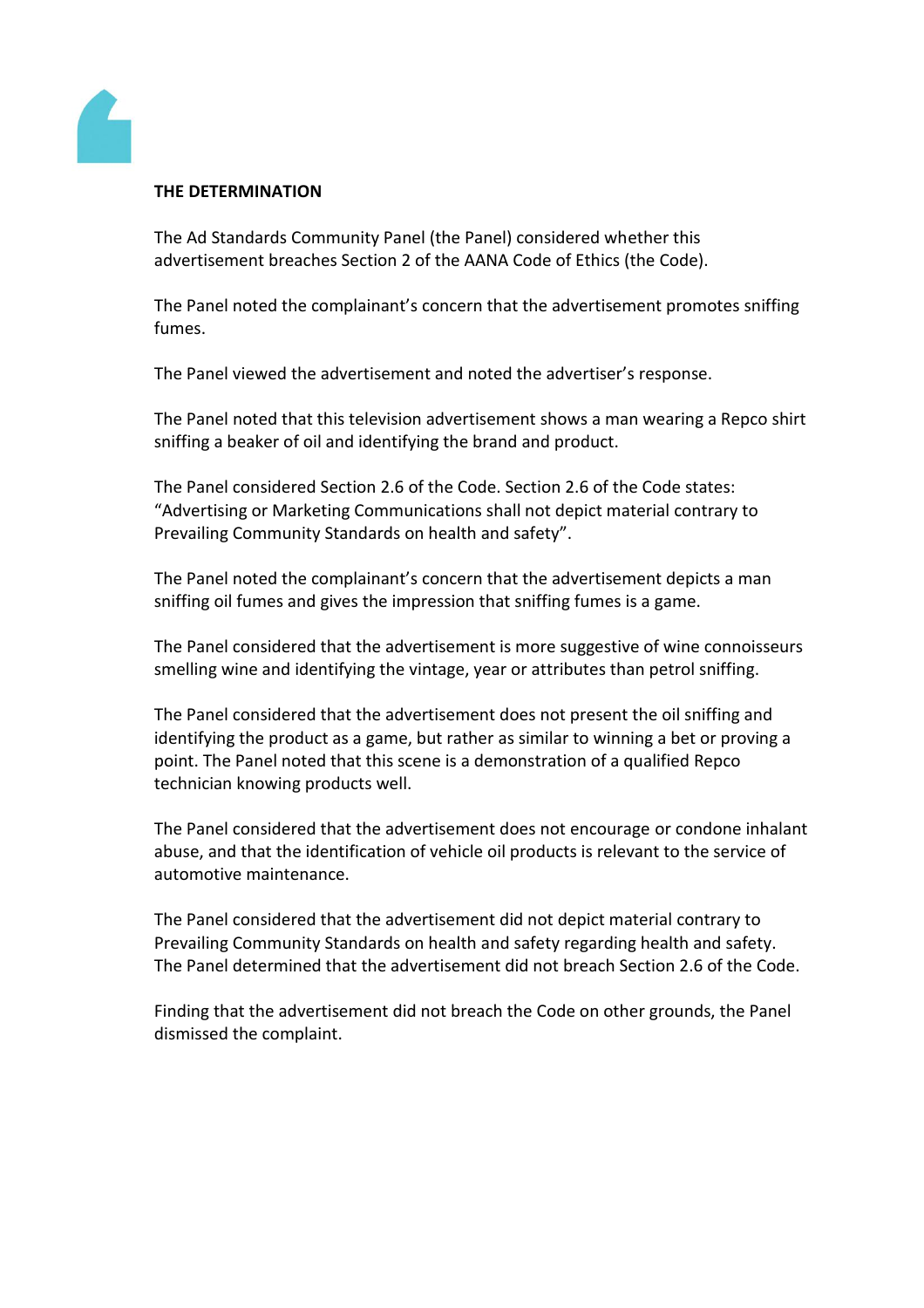

## **THE DETERMINATION**

The Ad Standards Community Panel (the Panel) considered whether this advertisement breaches Section 2 of the AANA Code of Ethics (the Code).

The Panel noted the complainant's concern that the advertisement promotes sniffing fumes.

The Panel viewed the advertisement and noted the advertiser's response.

The Panel noted that this television advertisement shows a man wearing a Repco shirt sniffing a beaker of oil and identifying the brand and product.

The Panel considered Section 2.6 of the Code. Section 2.6 of the Code states: "Advertising or Marketing Communications shall not depict material contrary to Prevailing Community Standards on health and safety".

The Panel noted the complainant's concern that the advertisement depicts a man sniffing oil fumes and gives the impression that sniffing fumes is a game.

The Panel considered that the advertisement is more suggestive of wine connoisseurs smelling wine and identifying the vintage, year or attributes than petrol sniffing.

The Panel considered that the advertisement does not present the oil sniffing and identifying the product as a game, but rather as similar to winning a bet or proving a point. The Panel noted that this scene is a demonstration of a qualified Repco technician knowing products well.

The Panel considered that the advertisement does not encourage or condone inhalant abuse, and that the identification of vehicle oil products is relevant to the service of automotive maintenance.

The Panel considered that the advertisement did not depict material contrary to Prevailing Community Standards on health and safety regarding health and safety. The Panel determined that the advertisement did not breach Section 2.6 of the Code.

Finding that the advertisement did not breach the Code on other grounds, the Panel dismissed the complaint.